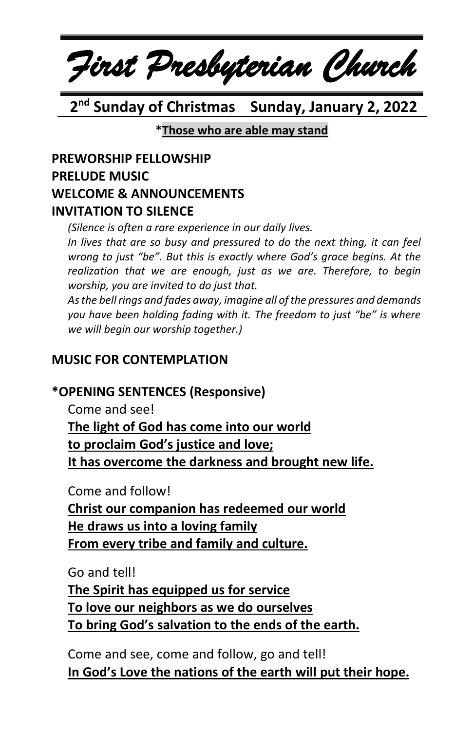# *First Presbyterian Church*

 **2 nd Sunday of Christmas Sunday, January 2, 2022**

**\*Those who are able may stand**

#### **PREWORSHIP FELLOWSHIP PRELUDE MUSIC WELCOME & ANNOUNCEMENTS INVITATION TO SILENCE**

*(Silence is often a rare experience in our daily lives.*

*In lives that are so busy and pressured to do the next thing, it can feel wrong to just "be". But this is exactly where God's grace begins. At the realization that we are enough, just as we are. Therefore, to begin worship, you are invited to do just that.*

*As the bell rings and fades away, imagine all of the pressures and demands you have been holding fading with it. The freedom to just "be" is where we will begin our worship together.)*

#### **MUSIC FOR CONTEMPLATION**

#### **\*OPENING SENTENCES (Responsive)**

Come and see! **The light of God has come into our world to proclaim God's justice and love; It has overcome the darkness and brought new life.**

Come and follow!

**Christ our companion has redeemed our world He draws us into a loving family From every tribe and family and culture.**

Go and tell!

**The Spirit has equipped us for service To love our neighbors as we do ourselves To bring God's salvation to the ends of the earth.**

Come and see, come and follow, go and tell! **In God's Love the nations of the earth will put their hope.**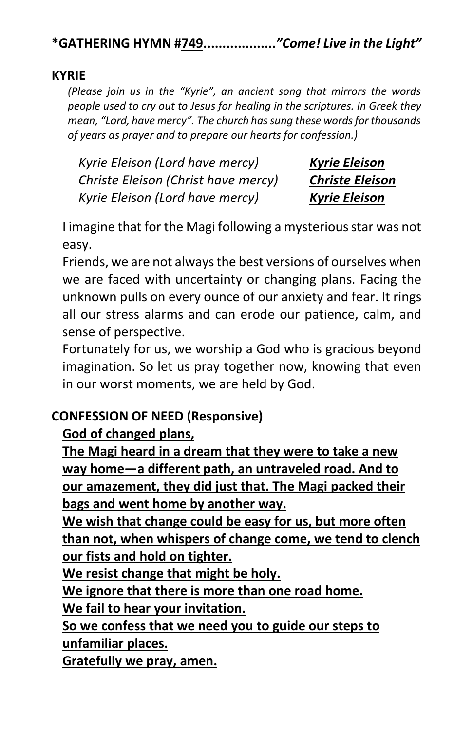**\*GATHERING HYMN #749...................***"Come! Live in the Light"* 

#### **KYRIE**

*(Please join us in the "Kyrie", an ancient song that mirrors the words people used to cry out to Jesus for healing in the scriptures. In Greek they mean, "Lord, have mercy". The church has sung these words for thousands of years as prayer and to prepare our hearts for confession.)*

*Kyrie Eleison (Lord have mercy) Kyrie Eleison Christe Eleison (Christ have mercy) Christe Eleison Kyrie Eleison (Lord have mercy) Kyrie Eleison*

I imagine that for the Magi following a mysterious star was not easy.

Friends, we are not alwaysthe best versions of ourselves when we are faced with uncertainty or changing plans. Facing the unknown pulls on every ounce of our anxiety and fear. It rings all our stress alarms and can erode our patience, calm, and sense of perspective.

Fortunately for us, we worship a God who is gracious beyond imagination. So let us pray together now, knowing that even in our worst moments, we are held by God.

#### **CONFESSION OF NEED (Responsive)**

#### **God of changed plans,**

**The Magi heard in a dream that they were to take a new way home—a different path, an untraveled road. And to our amazement, they did just that. The Magi packed their bags and went home by another way.**

**We wish that change could be easy for us, but more often than not, when whispers of change come, we tend to clench our fists and hold on tighter.**

**We resist change that might be holy.**

**We ignore that there is more than one road home.** 

**We fail to hear your invitation.**

**So we confess that we need you to guide our steps to unfamiliar places.**

**Gratefully we pray, amen.**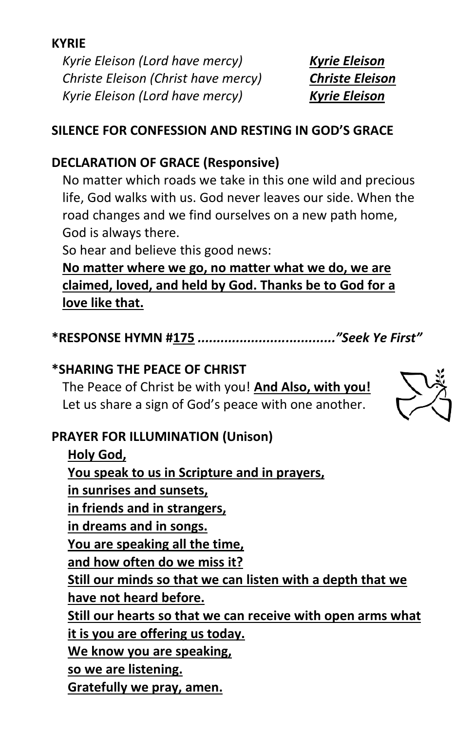#### **KYRIE**

*Kyrie Eleison (Lord have mercy) Kyrie Eleison Christe Eleison (Christ have mercy) Christe Eleison Kyrie Eleison (Lord have mercy) Kyrie Eleison*

#### **SILENCE FOR CONFESSION AND RESTING IN GOD'S GRACE**

#### **DECLARATION OF GRACE (Responsive)**

No matter which roads we take in this one wild and precious life, God walks with us. God never leaves our side. When the road changes and we find ourselves on a new path home, God is always there.

So hear and believe this good news:

**No matter where we go, no matter what we do, we are claimed, loved, and held by God. Thanks be to God for a love like that.**

**\*RESPONSE HYMN #175** *...................................."Seek Ye First"*

#### **\*SHARING THE PEACE OF CHRIST**

The Peace of Christ be with you! **And Also, with you!** Let us share a sign of God's peace with one another.

#### **PRAYER FOR ILLUMINATION (Unison)**

**Holy God, You speak to us in Scripture and in prayers, in sunrises and sunsets, in friends and in strangers, in dreams and in songs. You are speaking all the time, and how often do we miss it? Still our minds so that we can listen with a depth that we have not heard before. Still our hearts so that we can receive with open arms what it is you are offering us today. We know you are speaking, so we are listening. Gratefully we pray, amen.**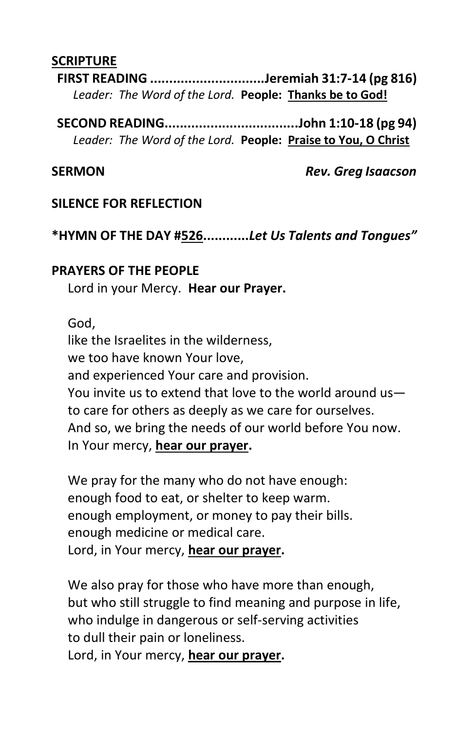#### **SCRIPTURE**

**FIRST READING ..............................Jeremiah 31:7-14 (pg 816)** *Leader: The Word of the Lord.* **People: Thanks be to God!**

**SECOND READING...................................John 1:10-18 (pg 94)** *Leader: The Word of the Lord.* **People: Praise to You, O Christ**

**SERMON** *Rev. Greg Isaacson*

#### **SILENCE FOR REFLECTION**

**\*HYMN OF THE DAY #526............***Let Us Talents and Tongues"*

#### **PRAYERS OF THE PEOPLE**

Lord in your Mercy. **Hear our Prayer.**

God,

like the Israelites in the wilderness, we too have known Your love, and experienced Your care and provision. You invite us to extend that love to the world around us to care for others as deeply as we care for ourselves. And so, we bring the needs of our world before You now. In Your mercy, **hear our prayer.**

We pray for the many who do not have enough: enough food to eat, or shelter to keep warm. enough employment, or money to pay their bills. enough medicine or medical care. Lord, in Your mercy, **hear our prayer.**

We also pray for those who have more than enough, but who still struggle to find meaning and purpose in life, who indulge in dangerous or self-serving activities to dull their pain or loneliness. Lord, in Your mercy, **hear our prayer.**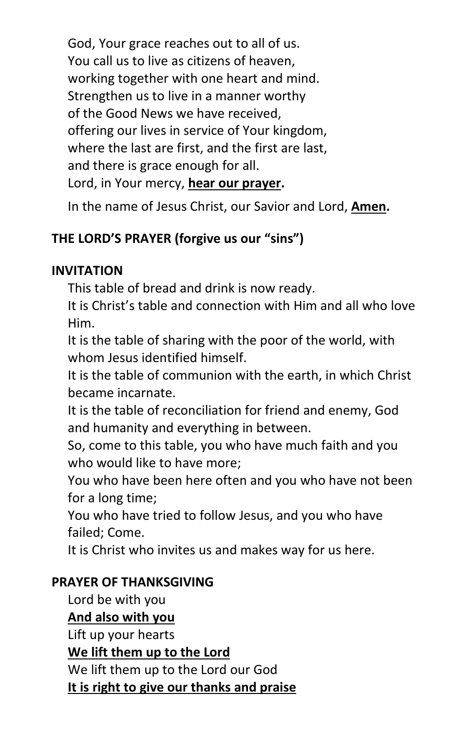God, Your grace reaches out to all of us. You call us to live as citizens of heaven, working together with one heart and mind. Strengthen us to live in a manner worthy of the Good News we have received, offering our lives in service of Your kingdom, where the last are first, and the first are last, and there is grace enough for all. Lord, in Your mercy, **hear our prayer.**

In the name of Jesus Christ, our Savior and Lord, **Amen.**

### **THE LORD'S PRAYER (forgive us our "sins")**

#### **INVITATION**

This table of bread and drink is now ready.

It is Christ's table and connection with Him and all who love Him.

It is the table of sharing with the poor of the world, with whom Jesus identified himself.

It is the table of communion with the earth, in which Christ became incarnate.

It is the table of reconciliation for friend and enemy, God and humanity and everything in between.

So, come to this table, you who have much faith and you who would like to have more;

You who have been here often and you who have not been for a long time;

You who have tried to follow Jesus, and you who have failed; Come.

It is Christ who invites us and makes way for us here.

#### **PRAYER OF THANKSGIVING**

Lord be with you

**And also with you**

Lift up your hearts

**We lift them up to the Lord**

We lift them up to the Lord our God **It is right to give our thanks and praise**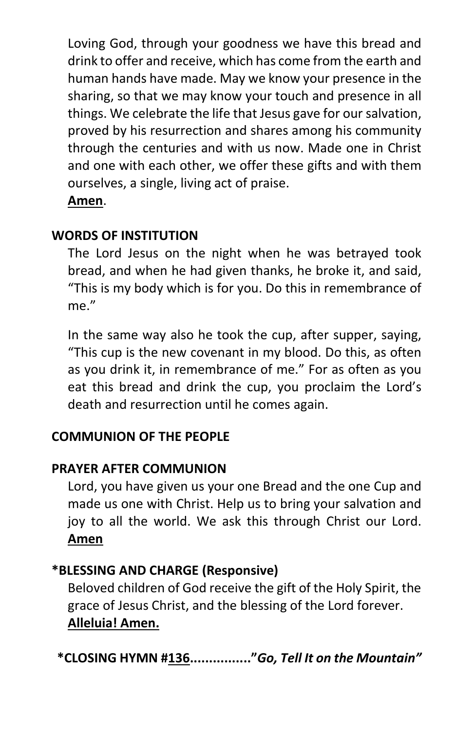Loving God, through your goodness we have this bread and drink to offer and receive, which has come from the earth and human hands have made. May we know your presence in the sharing, so that we may know your touch and presence in all things. We celebrate the life that Jesus gave for our salvation, proved by his resurrection and shares among his community through the centuries and with us now. Made one in Christ and one with each other, we offer these gifts and with them ourselves, a single, living act of praise. **Amen**.

#### **WORDS OF INSTITUTION**

The Lord Jesus on the night when he was betrayed took bread, and when he had given thanks, he broke it, and said, "This is my body which is for you. Do this in remembrance of me."

In the same way also he took the cup, after supper, saying, "This cup is the new covenant in my blood. Do this, as often as you drink it, in remembrance of me." For as often as you eat this bread and drink the cup, you proclaim the Lord's death and resurrection until he comes again.

#### **COMMUNION OF THE PEOPLE**

#### **PRAYER AFTER COMMUNION**

Lord, you have given us your one Bread and the one Cup and made us one with Christ. Help us to bring your salvation and joy to all the world. We ask this through Christ our Lord. **Amen**

#### **\*BLESSING AND CHARGE (Responsive)**

Beloved children of God receive the gift of the Holy Spirit, the grace of Jesus Christ, and the blessing of the Lord forever. **Alleluia! Amen.**

**\*CLOSING HYMN #136................"***Go, Tell It on the Mountain"*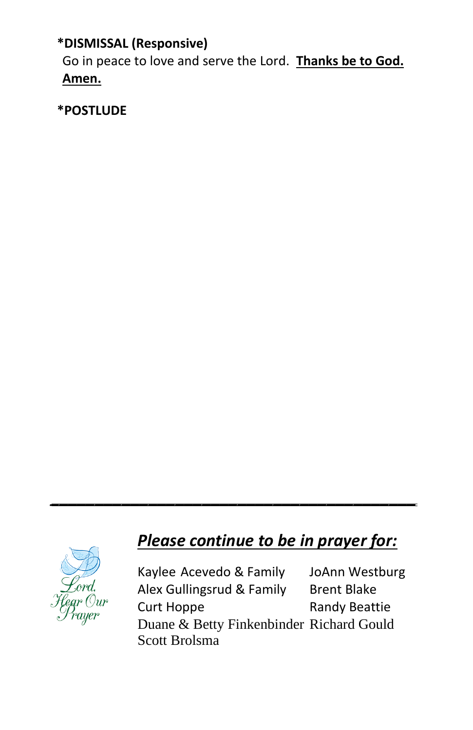**\*DISMISSAL (Responsive)**

Go in peace to love and serve the Lord. **Thanks be to God. Amen.**

**\*POSTLUDE**

## *Please continue to be in prayer for:*

*\_\_\_\_\_\_\_\_\_\_\_\_\_\_\_\_\_\_\_\_\_\_\_\_\_\_\_\_\_\_\_\_\_\_\_\_\_\_\_\_\_*



Kaylee Acevedo & Family JoAnn Westburg Alex Gullingsrud & Family Brent Blake Curt Hoppe Randy Beattie Duane & Betty Finkenbinder Richard Gould Scott Brolsma